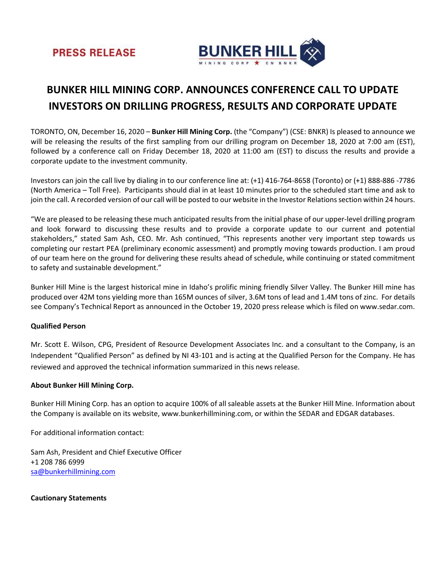



## BUNKER HILL MINING CORP. ANNOUNCES CONFERENCE CALL TO UPDATE INVESTORS ON DRILLING PROGRESS, RESULTS AND CORPORATE UPDATE

TORONTO, ON, December 16, 2020 – Bunker Hill Mining Corp. (the "Company") (CSE: BNKR) Is pleased to announce we will be releasing the results of the first sampling from our drilling program on December 18, 2020 at 7:00 am (EST), followed by a conference call on Friday December 18, 2020 at 11:00 am (EST) to discuss the results and provide a corporate update to the investment community.

Investors can join the call live by dialing in to our conference line at: (+1) 416-764-8658 (Toronto) or (+1) 888-886 -7786 (North America – Toll Free). Participants should dial in at least 10 minutes prior to the scheduled start time and ask to join the call. A recorded version of our call will be posted to our website in the Investor Relations section within 24 hours.

"We are pleased to be releasing these much anticipated results from the initial phase of our upper-level drilling program and look forward to discussing these results and to provide a corporate update to our current and potential stakeholders," stated Sam Ash, CEO. Mr. Ash continued, "This represents another very important step towards us completing our restart PEA (preliminary economic assessment) and promptly moving towards production. I am proud of our team here on the ground for delivering these results ahead of schedule, while continuing or stated commitment to safety and sustainable development."

Bunker Hill Mine is the largest historical mine in Idaho's prolific mining friendly Silver Valley. The Bunker Hill mine has produced over 42M tons yielding more than 165M ounces of silver, 3.6M tons of lead and 1.4M tons of zinc. For details see Company's Technical Report as announced in the October 19, 2020 press release which is filed on www.sedar.com.

## Qualified Person

Mr. Scott E. Wilson, CPG, President of Resource Development Associates Inc. and a consultant to the Company, is an Independent "Qualified Person" as defined by NI 43-101 and is acting at the Qualified Person for the Company. He has reviewed and approved the technical information summarized in this news release.

## About Bunker Hill Mining Corp.

Bunker Hill Mining Corp. has an option to acquire 100% of all saleable assets at the Bunker Hill Mine. Information about the Company is available on its website, www.bunkerhillmining.com, or within the SEDAR and EDGAR databases.

For additional information contact:

Sam Ash, President and Chief Executive Officer +1 208 786 6999 sa@bunkerhillmining.com

Cautionary Statements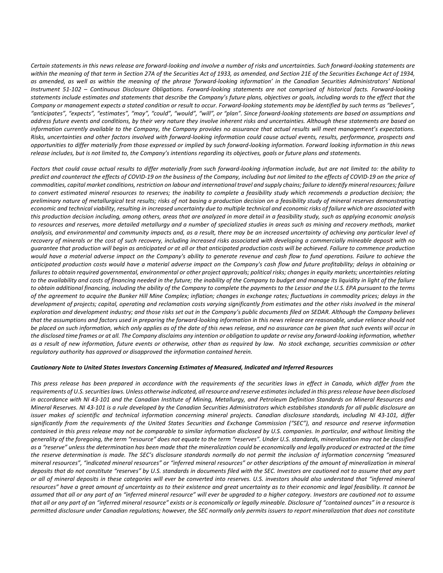Certain statements in this news release are forward-looking and involve a number of risks and uncertainties. Such forward-looking statements are within the meaning of that term in Section 27A of the Securities Act of 1933, as amended, and Section 21E of the Securities Exchange Act of 1934, as amended, as well as within the meaning of the phrase 'forward-looking information' in the Canadian Securities Administrators' National Instrument 51-102 – Continuous Disclosure Obligations. Forward-looking statements are not comprised of historical facts. Forward-looking statements include estimates and statements that describe the Company's future plans, objectives or goals, including words to the effect that the Company or management expects a stated condition or result to occur. Forward-looking statements may be identified by such terms as "believes", "anticipates", "expects", "estimates", "may", "could", "would", "will", or "plan". Since forward-looking statements are based on assumptions and address future events and conditions, by their very nature they involve inherent risks and uncertainties. Although these statements are based on information currently available to the Company, the Company provides no assurance that actual results will meet management's expectations. Risks, uncertainties and other factors involved with forward-looking information could cause actual events, results, performance, prospects and opportunities to differ materially from those expressed or implied by such forward-looking information. Forward looking information in this news release includes, but is not limited to, the Company's intentions regarding its objectives, goals or future plans and statements.

Factors that could cause actual results to differ materially from such forward-looking information include, but are not limited to: the ability to predict and counteract the effects of COVID-19 on the business of the Company, including but not limited to the effects of COVID-19 on the price of commodities, capital market conditions, restriction on labour and international travel and supply chains; failure to identify mineral resources; failure to convert estimated mineral resources to reserves; the inability to complete a feasibility study which recommends a production decision; the preliminary nature of metallurgical test results; risks of not basing a production decision on a feasibility study of mineral reserves demonstrating economic and technical viability, resulting in increased uncertainty due to multiple technical and economic risks of failure which are associated with this production decision including, among others, areas that are analyzed in more detail in a feasibility study, such as applying economic analysis to resources and reserves, more detailed metallurgy and a number of specialized studies in areas such as mining and recovery methods, market analysis, and environmental and community impacts and, as a result, there may be an increased uncertainty of achieving any particular level of recovery of minerals or the cost of such recovery, including increased risks associated with developing a commercially mineable deposit with no guarantee that production will begin as anticipated or at all or that anticipated production costs will be achieved. Failure to commence production would have a material adverse impact on the Company's ability to generate revenue and cash flow to fund operations. Failure to achieve the anticipated production costs would have a material adverse impact on the Company's cash flow and future profitability; delays in obtaining or failures to obtain required governmental, environmental or other project approvals; political risks; changes in equity markets; uncertainties relating to the availability and costs of financing needed in the future; the inability of the Company to budget and manage its liquidity in light of the failure to obtain additional financing, including the ability of the Company to complete the payments to the Lessor and the U.S. EPA pursuant to the terms of the agreement to acquire the Bunker Hill Mine Complex; inflation; changes in exchange rates; fluctuations in commodity prices; delays in the development of projects; capital, operating and reclamation costs varying significantly from estimates and the other risks involved in the mineral exploration and development industry; and those risks set out in the Company's public documents filed on SEDAR. Although the Company believes that the assumptions and factors used in preparing the forward-looking information in this news release are reasonable, undue reliance should not be placed on such information, which only applies as of the date of this news release, and no assurance can be given that such events will occur in the disclosed time frames or at all. The Company disclaims any intention or obligation to update or revise any forward-looking information, whether as a result of new information, future events or otherwise, other than as required by law. No stock exchange, securities commission or other regulatory authority has approved or disapproved the information contained herein.

## Cautionary Note to United States Investors Concerning Estimates of Measured, Indicated and Inferred Resources

This press release has been prepared in accordance with the requirements of the securities laws in effect in Canada, which differ from the requirements of U.S. securities laws. Unless otherwise indicated, all resource and reserve estimates included in this press release have been disclosed in accordance with NI 43-101 and the Canadian Institute of Mining, Metallurgy, and Petroleum Definition Standards on Mineral Resources and Mineral Reserves. NI 43-101 is a rule developed by the Canadian Securities Administrators which establishes standards for all public disclosure an issuer makes of scientific and technical information concerning mineral projects. Canadian disclosure standards, including NI 43-101, differ significantly from the requirements of the United States Securities and Exchange Commission ("SEC"), and resource and reserve information contained in this press release may not be comparable to similar information disclosed by U.S. companies. In particular, and without limiting the generality of the foregoing, the term "resource" does not equate to the term "reserves". Under U.S. standards, mineralization may not be classified as a "reserve" unless the determination has been made that the mineralization could be economically and legally produced or extracted at the time the reserve determination is made. The SEC's disclosure standards normally do not permit the inclusion of information concerning "measured mineral resources", "indicated mineral resources" or "inferred mineral resources" or other descriptions of the amount of mineralization in mineral deposits that do not constitute "reserves" by U.S. standards in documents filed with the SEC. Investors are cautioned not to assume that any part or all of mineral deposits in these categories will ever be converted into reserves. U.S. investors should also understand that "inferred mineral resources" have a great amount of uncertainty as to their existence and great uncertainty as to their economic and legal feasibility. It cannot be assumed that all or any part of an "inferred mineral resource" will ever be upgraded to a higher category. Investors are cautioned not to assume that all or any part of an "inferred mineral resource" exists or is economically or legally mineable. Disclosure of "contained ounces" in a resource is permitted disclosure under Canadian regulations; however, the SEC normally only permits issuers to report mineralization that does not constitute